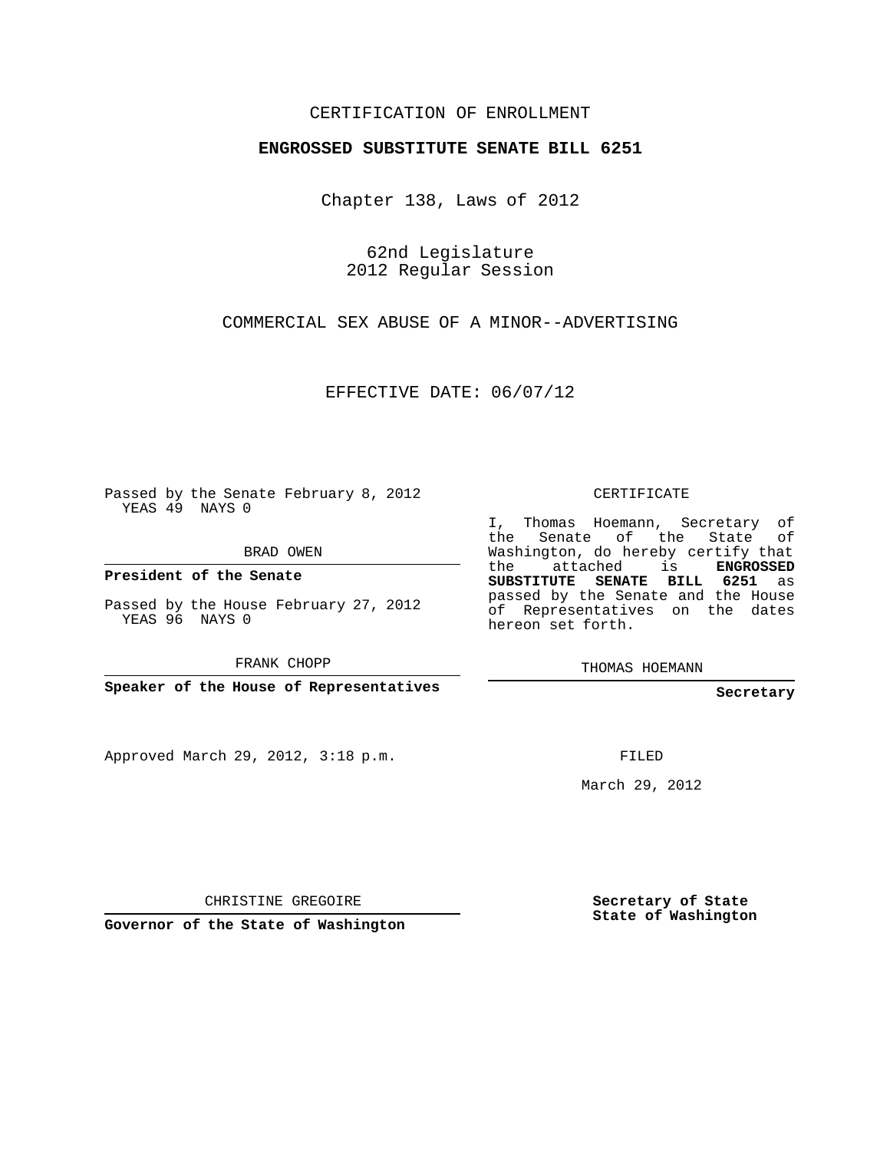## CERTIFICATION OF ENROLLMENT

## **ENGROSSED SUBSTITUTE SENATE BILL 6251**

Chapter 138, Laws of 2012

62nd Legislature 2012 Regular Session

COMMERCIAL SEX ABUSE OF A MINOR--ADVERTISING

EFFECTIVE DATE: 06/07/12

Passed by the Senate February 8, 2012 YEAS 49 NAYS 0

BRAD OWEN

**President of the Senate**

Passed by the House February 27, 2012 YEAS 96 NAYS 0

FRANK CHOPP

**Speaker of the House of Representatives**

Approved March 29, 2012, 3:18 p.m.

CERTIFICATE

I, Thomas Hoemann, Secretary of the Senate of the State Washington, do hereby certify that the attached is **ENGROSSED SUBSTITUTE SENATE BILL 6251** as passed by the Senate and the House of Representatives on the dates hereon set forth.

THOMAS HOEMANN

**Secretary**

FILED

March 29, 2012

CHRISTINE GREGOIRE

**Governor of the State of Washington**

**Secretary of State State of Washington**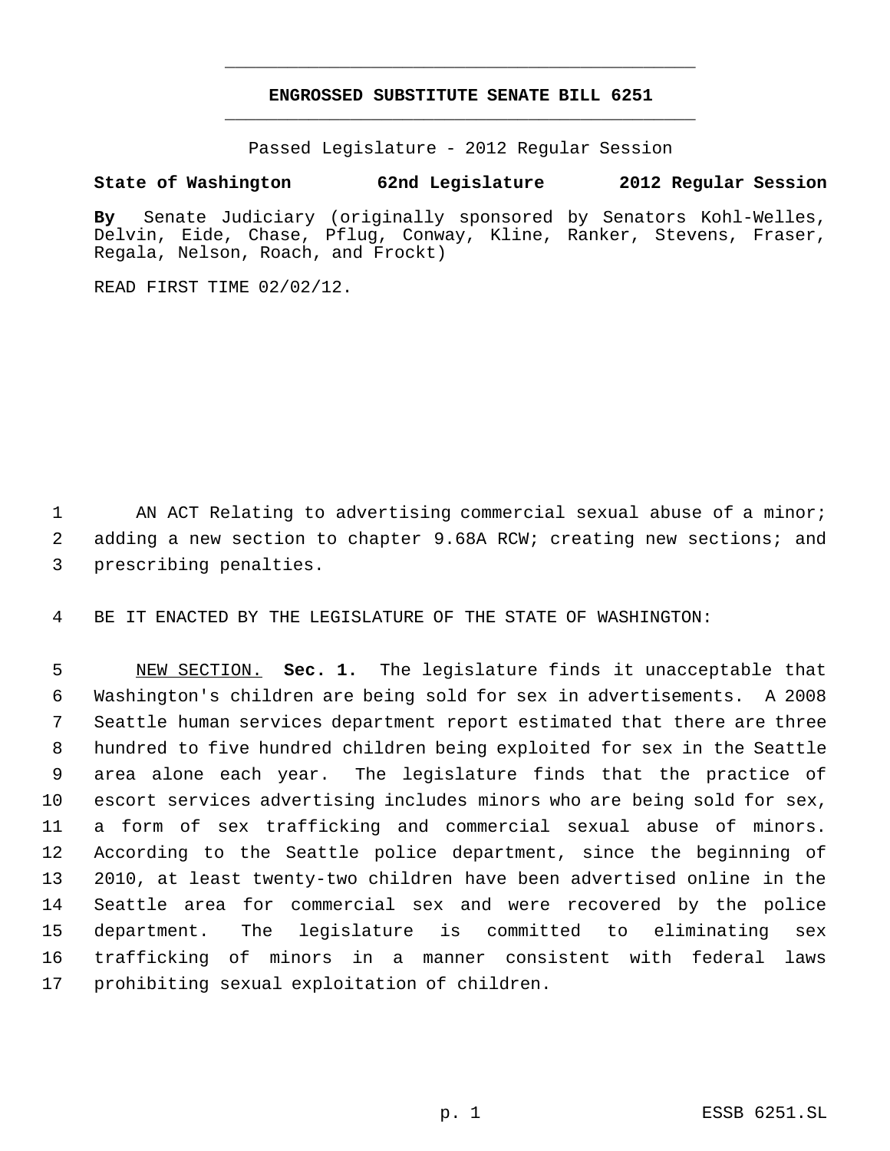## **ENGROSSED SUBSTITUTE SENATE BILL 6251** \_\_\_\_\_\_\_\_\_\_\_\_\_\_\_\_\_\_\_\_\_\_\_\_\_\_\_\_\_\_\_\_\_\_\_\_\_\_\_\_\_\_\_\_\_

\_\_\_\_\_\_\_\_\_\_\_\_\_\_\_\_\_\_\_\_\_\_\_\_\_\_\_\_\_\_\_\_\_\_\_\_\_\_\_\_\_\_\_\_\_

Passed Legislature - 2012 Regular Session

## **State of Washington 62nd Legislature 2012 Regular Session**

**By** Senate Judiciary (originally sponsored by Senators Kohl-Welles, Delvin, Eide, Chase, Pflug, Conway, Kline, Ranker, Stevens, Fraser, Regala, Nelson, Roach, and Frockt)

READ FIRST TIME 02/02/12.

1 AN ACT Relating to advertising commercial sexual abuse of a minor; 2 adding a new section to chapter 9.68A RCW; creating new sections; and 3 prescribing penalties.

4 BE IT ENACTED BY THE LEGISLATURE OF THE STATE OF WASHINGTON:

 NEW SECTION. **Sec. 1.** The legislature finds it unacceptable that Washington's children are being sold for sex in advertisements. A 2008 Seattle human services department report estimated that there are three hundred to five hundred children being exploited for sex in the Seattle area alone each year. The legislature finds that the practice of escort services advertising includes minors who are being sold for sex, a form of sex trafficking and commercial sexual abuse of minors. According to the Seattle police department, since the beginning of 2010, at least twenty-two children have been advertised online in the Seattle area for commercial sex and were recovered by the police department. The legislature is committed to eliminating sex trafficking of minors in a manner consistent with federal laws prohibiting sexual exploitation of children.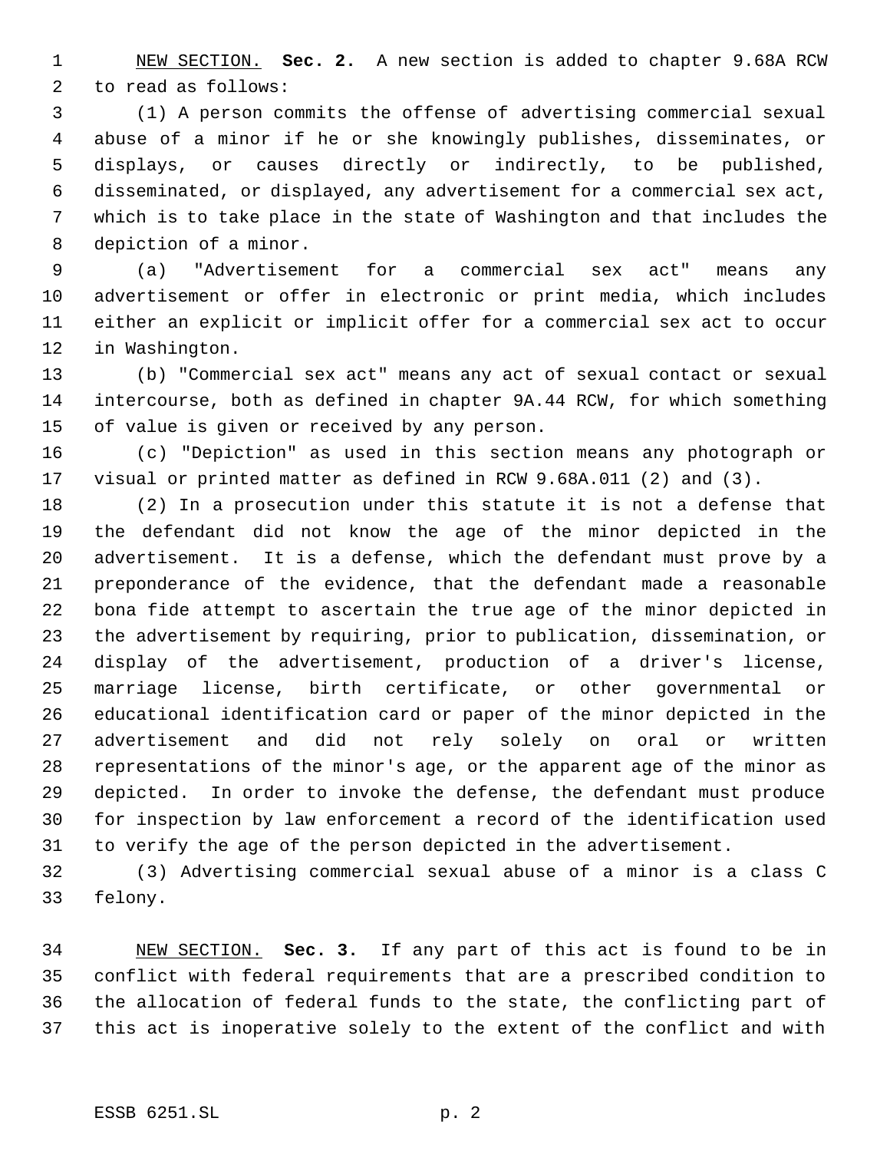NEW SECTION. **Sec. 2.** A new section is added to chapter 9.68A RCW to read as follows:

 (1) A person commits the offense of advertising commercial sexual abuse of a minor if he or she knowingly publishes, disseminates, or displays, or causes directly or indirectly, to be published, disseminated, or displayed, any advertisement for a commercial sex act, which is to take place in the state of Washington and that includes the depiction of a minor.

 (a) "Advertisement for a commercial sex act" means any advertisement or offer in electronic or print media, which includes either an explicit or implicit offer for a commercial sex act to occur in Washington.

 (b) "Commercial sex act" means any act of sexual contact or sexual intercourse, both as defined in chapter 9A.44 RCW, for which something of value is given or received by any person.

 (c) "Depiction" as used in this section means any photograph or visual or printed matter as defined in RCW 9.68A.011 (2) and (3).

 (2) In a prosecution under this statute it is not a defense that the defendant did not know the age of the minor depicted in the advertisement. It is a defense, which the defendant must prove by a preponderance of the evidence, that the defendant made a reasonable bona fide attempt to ascertain the true age of the minor depicted in the advertisement by requiring, prior to publication, dissemination, or display of the advertisement, production of a driver's license, marriage license, birth certificate, or other governmental or educational identification card or paper of the minor depicted in the advertisement and did not rely solely on oral or written representations of the minor's age, or the apparent age of the minor as depicted. In order to invoke the defense, the defendant must produce for inspection by law enforcement a record of the identification used to verify the age of the person depicted in the advertisement.

 (3) Advertising commercial sexual abuse of a minor is a class C felony.

 NEW SECTION. **Sec. 3.** If any part of this act is found to be in conflict with federal requirements that are a prescribed condition to the allocation of federal funds to the state, the conflicting part of this act is inoperative solely to the extent of the conflict and with